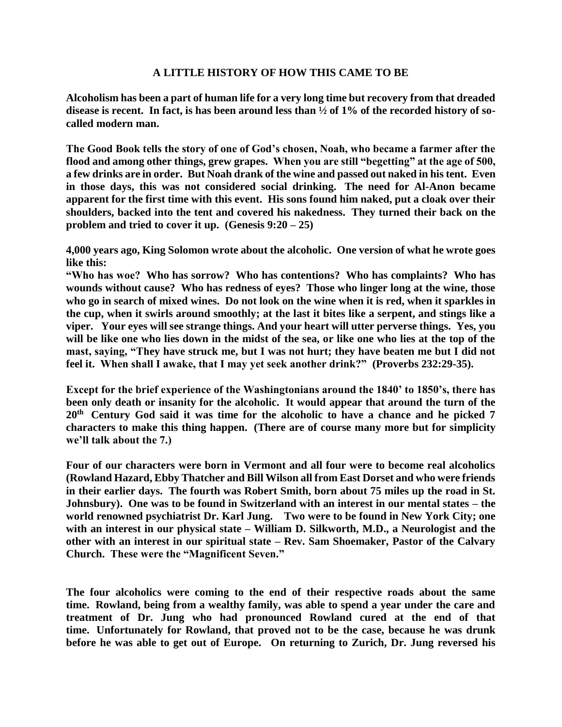## **A LITTLE HISTORY OF HOW THIS CAME TO BE**

**Alcoholism has been a part of human life for a very long time but recovery from that dreaded disease is recent. In fact, is has been around less than ½ of 1% of the recorded history of socalled modern man.**

**The Good Book tells the story of one of God's chosen, Noah, who became a farmer after the flood and among other things, grew grapes. When you are still "begetting" at the age of 500, a few drinks are in order. But Noah drank of the wine and passed out naked in his tent. Even in those days, this was not considered social drinking. The need for Al-Anon became apparent for the first time with this event. His sons found him naked, put a cloak over their shoulders, backed into the tent and covered his nakedness. They turned their back on the problem and tried to cover it up. (Genesis 9:20 – 25)**

**4,000 years ago, King Solomon wrote about the alcoholic. One version of what he wrote goes like this:**

**"Who has woe? Who has sorrow? Who has contentions? Who has complaints? Who has wounds without cause? Who has redness of eyes? Those who linger long at the wine, those who go in search of mixed wines. Do not look on the wine when it is red, when it sparkles in the cup, when it swirls around smoothly; at the last it bites like a serpent, and stings like a viper. Your eyes will see strange things. And your heart will utter perverse things. Yes, you will be like one who lies down in the midst of the sea, or like one who lies at the top of the mast, saying, "They have struck me, but I was not hurt; they have beaten me but I did not feel it. When shall I awake, that I may yet seek another drink?" (Proverbs 232:29-35).**

**Except for the brief experience of the Washingtonians around the 1840' to 1850's, there has been only death or insanity for the alcoholic. It would appear that around the turn of the 20th Century God said it was time for the alcoholic to have a chance and he picked 7 characters to make this thing happen. (There are of course many more but for simplicity we'll talk about the 7.)**

**Four of our characters were born in Vermont and all four were to become real alcoholics (Rowland Hazard, Ebby Thatcher and Bill Wilson all from East Dorset and who were friends in their earlier days. The fourth was Robert Smith, born about 75 miles up the road in St. Johnsbury). One was to be found in Switzerland with an interest in our mental states – the world renowned psychiatrist Dr. Karl Jung. Two were to be found in New York City; one with an interest in our physical state – William D. Silkworth, M.D., a Neurologist and the other with an interest in our spiritual state – Rev. Sam Shoemaker, Pastor of the Calvary Church. These were the "Magnificent Seven."**

**The four alcoholics were coming to the end of their respective roads about the same time. Rowland, being from a wealthy family, was able to spend a year under the care and treatment of Dr. Jung who had pronounced Rowland cured at the end of that time. Unfortunately for Rowland, that proved not to be the case, because he was drunk before he was able to get out of Europe. On returning to Zurich, Dr. Jung reversed his**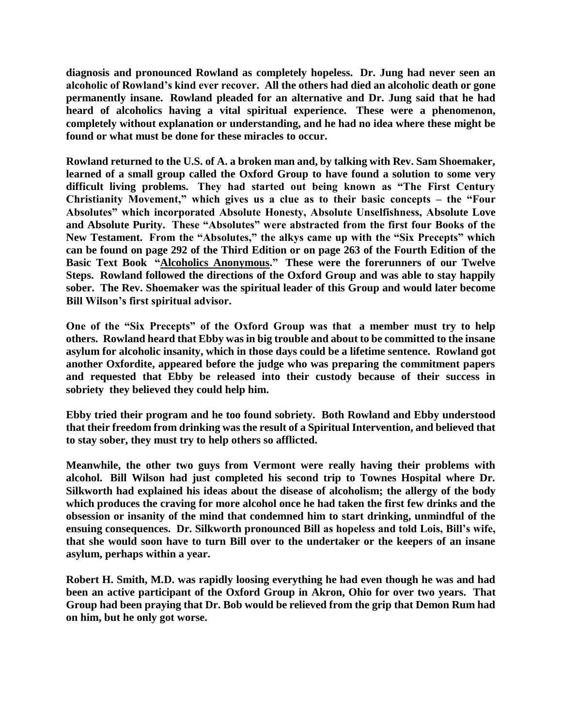**diagnosis and pronounced Rowland as completely hopeless. Dr. Jung had never seen an alcoholic of Rowland's kind ever recover. All the others had died an alcoholic death or gone permanently insane. Rowland pleaded for an alternative and Dr. Jung said that he had heard of alcoholics having a vital spiritual experience. These were a phenomenon, completely without explanation or understanding, and he had no idea where these might be found or what must be done for these miracles to occur.**

**Rowland returned to the U.S. of A. a broken man and, by talking with Rev. Sam Shoemaker, learned of a small group called the Oxford Group to have found a solution to some very difficult living problems. They had started out being known as "The First Century Christianity Movement," which gives us a clue as to their basic concepts – the "Four Absolutes" which incorporated Absolute Honesty, Absolute Unselfishness, Absolute Love and Absolute Purity. These "Absolutes" were abstracted from the first four Books of the New Testament. From the "Absolutes," the alkys came up with the "Six Precepts" which can be found on page 292 of the Third Edition or on page 263 of the Fourth Edition of the Basic Text Book "Alcoholics Anonymous." These were the forerunners of our Twelve Steps. Rowland followed the directions of the Oxford Group and was able to stay happily sober. The Rev. Shoemaker was the spiritual leader of this Group and would later become Bill Wilson's first spiritual advisor.**

**One of the "Six Precepts" of the Oxford Group was that a member must try to help others. Rowland heard that Ebby was in big trouble and about to be committed to the insane asylum for alcoholic insanity, which in those days could be a lifetime sentence. Rowland got another Oxfordite, appeared before the judge who was preparing the commitment papers and requested that Ebby be released into their custody because of their success in sobriety they believed they could help him.**

**Ebby tried their program and he too found sobriety. Both Rowland and Ebby understood that their freedom from drinking was the result of a Spiritual Intervention, and believed that to stay sober, they must try to help others so afflicted.**

**Meanwhile, the other two guys from Vermont were really having their problems with alcohol. Bill Wilson had just completed his second trip to Townes Hospital where Dr. Silkworth had explained his ideas about the disease of alcoholism; the allergy of the body which produces the craving for more alcohol once he had taken the first few drinks and the obsession or insanity of the mind that condemned him to start drinking, unmindful of the ensuing consequences. Dr. Silkworth pronounced Bill as hopeless and told Lois, Bill's wife, that she would soon have to turn Bill over to the undertaker or the keepers of an insane asylum, perhaps within a year.**

**Robert H. Smith, M.D. was rapidly loosing everything he had even though he was and had been an active participant of the Oxford Group in Akron, Ohio for over two years. That Group had been praying that Dr. Bob would be relieved from the grip that Demon Rum had on him, but he only got worse.**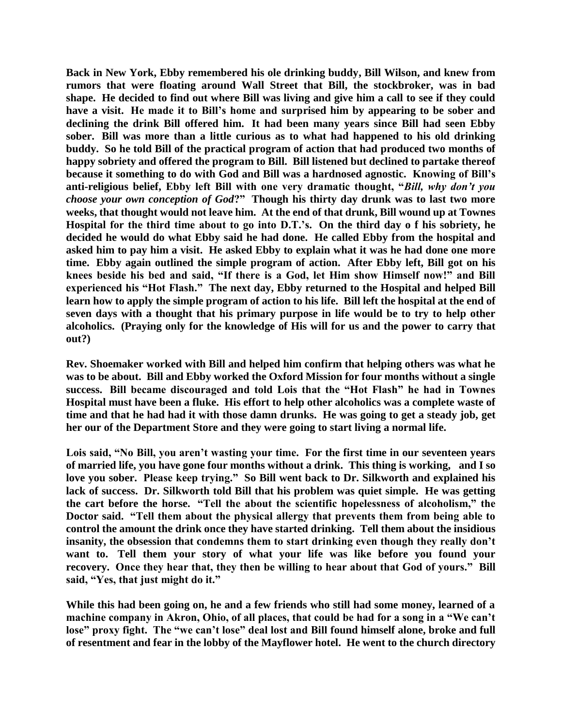**Back in New York, Ebby remembered his ole drinking buddy, Bill Wilson, and knew from rumors that were floating around Wall Street that Bill, the stockbroker, was in bad shape. He decided to find out where Bill was living and give him a call to see if they could have a visit. He made it to Bill's home and surprised him by appearing to be sober and declining the drink Bill offered him. It had been many years since Bill had seen Ebby sober. Bill was more than a little curious as to what had happened to his old drinking buddy. So he told Bill of the practical program of action that had produced two months of happy sobriety and offered the program to Bill. Bill listened but declined to partake thereof because it something to do with God and Bill was a hardnosed agnostic. Knowing of Bill's anti-religious belief, Ebby left Bill with one very dramatic thought, "***Bill, why don't you choose your own conception of God***?" Though his thirty day drunk was to last two more weeks, that thought would not leave him. At the end of that drunk, Bill wound up at Townes Hospital for the third time about to go into D.T.'s. On the third day o f his sobriety, he decided he would do what Ebby said he had done. He called Ebby from the hospital and asked him to pay him a visit. He asked Ebby to explain what it was he had done one more time. Ebby again outlined the simple program of action. After Ebby left, Bill got on his knees beside his bed and said, "If there is a God, let Him show Himself now!" and Bill experienced his "Hot Flash." The next day, Ebby returned to the Hospital and helped Bill learn how to apply the simple program of action to his life. Bill left the hospital at the end of seven days with a thought that his primary purpose in life would be to try to help other alcoholics. (Praying only for the knowledge of His will for us and the power to carry that out?)**

**Rev. Shoemaker worked with Bill and helped him confirm that helping others was what he was to be about. Bill and Ebby worked the Oxford Mission for four months without a single success. Bill became discouraged and told Lois that the "Hot Flash" he had in Townes Hospital must have been a fluke. His effort to help other alcoholics was a complete waste of time and that he had had it with those damn drunks. He was going to get a steady job, get her our of the Department Store and they were going to start living a normal life.**

**Lois said, "No Bill, you aren't wasting your time. For the first time in our seventeen years of married life, you have gone four months without a drink. This thing is working, and I so love you sober. Please keep trying." So Bill went back to Dr. Silkworth and explained his lack of success. Dr. Silkworth told Bill that his problem was quiet simple. He was getting the cart before the horse. "Tell the about the scientific hopelessness of alcoholism," the Doctor said. "Tell them about the physical allergy that prevents them from being able to control the amount the drink once they have started drinking. Tell them about the insidious insanity, the obsession that condemns them to start drinking even though they really don't want to. Tell them your story of what your life was like before you found your recovery. Once they hear that, they then be willing to hear about that God of yours." Bill said, "Yes, that just might do it."**

**While this had been going on, he and a few friends who still had some money, learned of a machine company in Akron, Ohio, of all places, that could be had for a song in a "We can't lose" proxy fight. The "we can't lose" deal lost and Bill found himself alone, broke and full of resentment and fear in the lobby of the Mayflower hotel. He went to the church directory**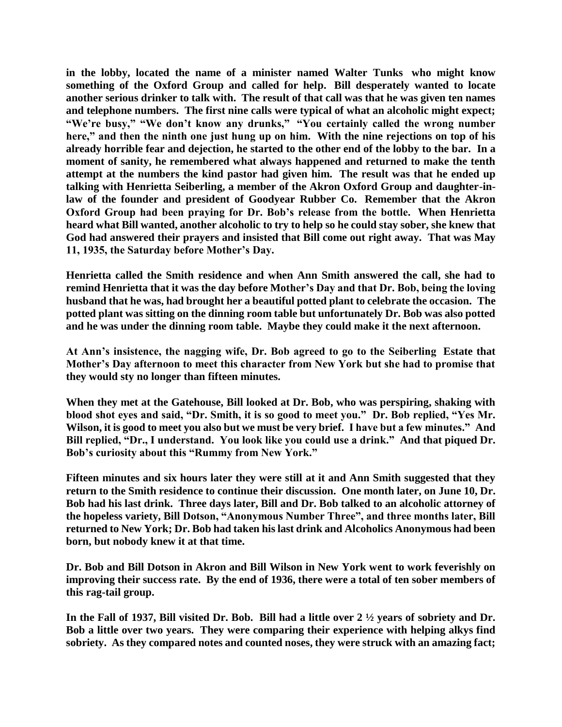**in the lobby, located the name of a minister named Walter Tunks who might know something of the Oxford Group and called for help. Bill desperately wanted to locate another serious drinker to talk with. The result of that call was that he was given ten names and telephone numbers. The first nine calls were typical of what an alcoholic might expect; "We're busy," "We don't know any drunks," "You certainly called the wrong number here," and then the ninth one just hung up on him. With the nine rejections on top of his already horrible fear and dejection, he started to the other end of the lobby to the bar. In a moment of sanity, he remembered what always happened and returned to make the tenth attempt at the numbers the kind pastor had given him. The result was that he ended up talking with Henrietta Seiberling, a member of the Akron Oxford Group and daughter-inlaw of the founder and president of Goodyear Rubber Co. Remember that the Akron Oxford Group had been praying for Dr. Bob's release from the bottle. When Henrietta heard what Bill wanted, another alcoholic to try to help so he could stay sober, she knew that God had answered their prayers and insisted that Bill come out right away. That was May 11, 1935, the Saturday before Mother's Day.**

**Henrietta called the Smith residence and when Ann Smith answered the call, she had to remind Henrietta that it was the day before Mother's Day and that Dr. Bob, being the loving husband that he was, had brought her a beautiful potted plant to celebrate the occasion. The potted plant was sitting on the dinning room table but unfortunately Dr. Bob was also potted and he was under the dinning room table. Maybe they could make it the next afternoon.**

**At Ann's insistence, the nagging wife, Dr. Bob agreed to go to the Seiberling Estate that Mother's Day afternoon to meet this character from New York but she had to promise that they would sty no longer than fifteen minutes.**

**When they met at the Gatehouse, Bill looked at Dr. Bob, who was perspiring, shaking with blood shot eyes and said, "Dr. Smith, it is so good to meet you." Dr. Bob replied, "Yes Mr. Wilson, it is good to meet you also but we must be very brief. I have but a few minutes." And Bill replied, "Dr., I understand. You look like you could use a drink." And that piqued Dr. Bob's curiosity about this "Rummy from New York."**

**Fifteen minutes and six hours later they were still at it and Ann Smith suggested that they return to the Smith residence to continue their discussion. One month later, on June 10, Dr. Bob had his last drink. Three days later, Bill and Dr. Bob talked to an alcoholic attorney of the hopeless variety, Bill Dotson, "Anonymous Number Three", and three months later, Bill returned to New York; Dr. Bob had taken his last drink and Alcoholics Anonymous had been born, but nobody knew it at that time.**

**Dr. Bob and Bill Dotson in Akron and Bill Wilson in New York went to work feverishly on improving their success rate. By the end of 1936, there were a total of ten sober members of this rag-tail group.**

**In the Fall of 1937, Bill visited Dr. Bob. Bill had a little over 2 ½ years of sobriety and Dr. Bob a little over two years. They were comparing their experience with helping alkys find sobriety. As they compared notes and counted noses, they were struck with an amazing fact;**